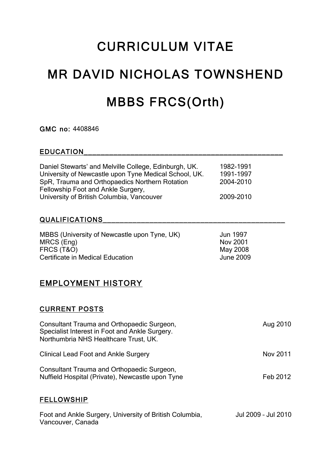# CURRICULUM VITAE

# MR DAVID NICHOLAS TOWNSHEND MBBS FRCS(Orth)

GMC no: 4408846

#### EDUCATION\_\_\_\_\_\_\_\_\_\_\_\_\_\_\_\_\_\_\_\_\_\_\_\_\_\_\_\_\_\_\_\_\_\_\_\_\_\_\_\_\_\_\_\_\_\_\_

| Daniel Stewarts' and Melville College, Edinburgh, UK.<br>University of Newcastle upon Tyne Medical School, UK. | 1982-1991<br>1991-1997 |
|----------------------------------------------------------------------------------------------------------------|------------------------|
| SpR, Trauma and Orthopaedics Northern Rotation                                                                 | 2004-2010              |
| Fellowship Foot and Ankle Surgery,                                                                             |                        |
| University of British Columbia, Vancouver                                                                      | 2009-2010              |

#### QUALIFICATIONS **External state of the set of the set of the set of the set of the set of the set of the set of the set of the set of the set of the set of the set of the set of the set of the set of the set of the set of t**

| MBBS (University of Newcastle upon Tyne, UK) | Jun 1997  |
|----------------------------------------------|-----------|
| MRCS (Eng)                                   | Nov 2001  |
| FRCS (T&O)                                   | May 2008  |
| Certificate in Medical Education             | June 2009 |

#### EMPLOYMENT HISTORY

#### CURRENT POSTS

| Consultant Trauma and Orthopaedic Surgeon,<br>Specialist Interest in Foot and Ankle Surgery.<br>Northumbria NHS Healthcare Trust, UK. | Aug 2010 |  |
|---------------------------------------------------------------------------------------------------------------------------------------|----------|--|
| <b>Clinical Lead Foot and Ankle Surgery</b>                                                                                           | Nov 2011 |  |
| Consultant Trauma and Orthopaedic Surgeon,<br>Nuffield Hospital (Private), Newcastle upon Tyne                                        | Feb 2012 |  |
| <b>FELLOWSHIP</b>                                                                                                                     |          |  |

Foot and Ankle Surgery, University of British Columbia, Jul 2009 - Jul 2010 Vancouver, Canada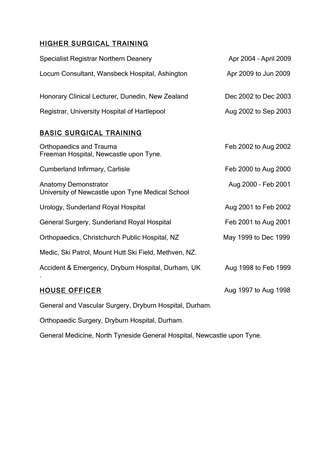### HIGHER SURGICAL TRAINING

| <b>Specialist Registrar Northern Deanery</b>                                    | Apr 2004 - April 2009 |
|---------------------------------------------------------------------------------|-----------------------|
| Locum Consultant, Wansbeck Hospital, Ashington                                  | Apr 2009 to Jun 2009  |
| Honorary Clinical Lecturer, Dunedin, New Zealand                                | Dec 2002 to Dec 2003  |
| Registrar, University Hospital of Hartlepool                                    | Aug 2002 to Sep 2003  |
| <b>BASIC SURGICAL TRAINING</b>                                                  |                       |
| <b>Orthopaedics and Trauma</b><br>Freeman Hospital, Newcastle upon Tyne.        | Feb 2002 to Aug 2002  |
| <b>Cumberland Infirmary, Carlisle</b>                                           | Feb 2000 to Aug 2000  |
| <b>Anatomy Demonstrator</b><br>University of Newcastle upon Tyne Medical School | Aug 2000 - Feb 2001   |
| Urology, Sunderland Royal Hospital                                              | Aug 2001 to Feb 2002  |
| General Surgery, Sunderland Royal Hospital                                      | Feb 2001 to Aug 2001  |
| Orthopaedics, Christchurch Public Hospital, NZ                                  | May 1999 to Dec 1999  |
| Medic, Ski Patrol, Mount Hutt Ski Field, Methven, NZ.                           |                       |
| Accident & Emergency, Dryburn Hospital, Durham, UK                              | Aug 1998 to Feb 1999  |
| <b>HOUSE OFFICER</b>                                                            | Aug 1997 to Aug 1998  |

General and Vascular Surgery, Dryburn Hospital, Durham.

Orthopaedic Surgery, Dryburn Hospital, Durham.

General Medicine, North Tyneside General Hospital, Newcastle upon Tyne.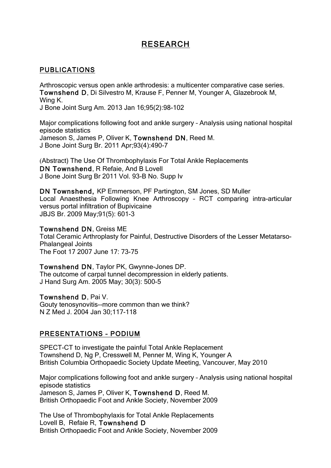## RESEARCH

#### PUBLICATIONS

Arthroscopic versus open ankle arthrodesis: a multicenter comparative case series. Townshend D, Di Silvestro M, Krause F, Penner M, Younger A, Glazebrook M, Wing K.

J Bone Joint Surg Am. 2013 Jan 16;95(2):98-102

Major complications following foot and ankle surgery – Analysis using national hospital episode statistics Jameson S, James P, Oliver K, Townshend DN, Reed M. J Bone Joint Surg Br. 2011 Apr;93(4):490-7

(Abstract) The Use Of Thrombophylaxis For Total Ankle Replacements DN Townshend, R Refaie, And B Lovell J Bone Joint Surg Br 2011 Vol. 93-B No. Supp Iv

DN Townshend, KP Emmerson, PF Partington, SM Jones, SD Muller Local Anaesthesia Following Knee Arthroscopy – RCT comparing intra-articular versus portal infiltration of Bupivicaine JBJS Br. 2009 May;91(5): 601-3

#### Townshend DN, Greiss ME

Total Ceramic Arthroplasty for Painful, Destructive Disorders of the Lesser Metatarso-Phalangeal Joints The Foot 17 2007 June 17: 73-75

Townshend DN, Taylor PK, Gwynne-Jones DP. The outcome of carpal tunnel decompression in elderly patients. J Hand Surg Am. 2005 May; 30(3): 500-5

Townshend D, Pai V. Gouty tenosynovitis--more common than we think? N Z Med J. 2004 Jan 30;117-118

#### PRESENTATIONS – PODIUM

SPECT-CT to investigate the painful Total Ankle Replacement Townshend D, Ng P, Cresswell M, Penner M, Wing K, Younger A British Columbia Orthopaedic Society Update Meeting, Vancouver, May 2010

Major complications following foot and ankle surgery – Analysis using national hospital episode statistics Jameson S, James P, Oliver K, Townshend D, Reed M. British Orthopaedic Foot and Ankle Society, November 2009

The Use of Thrombophylaxis for Total Ankle Replacements Lovell B, Refaie R, Townshend D British Orthopaedic Foot and Ankle Society, November 2009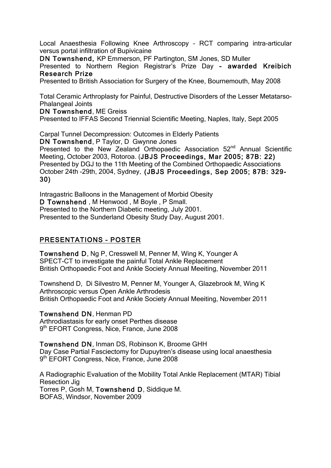Local Anaesthesia Following Knee Arthroscopy – RCT comparing intra-articular versus portal infiltration of Bupivicaine

DN Townshend, KP Emmerson, PF Partington, SM Jones, SD Muller

Presented to Northern Region Registrar's Prize Day – awarded Kreibich Research Prize

Presented to British Association for Surgery of the Knee, Bournemouth, May 2008

Total Ceramic Arthroplasty for Painful, Destructive Disorders of the Lesser Metatarso-Phalangeal Joints

DN Townshend, ME Greiss

Presented to IFFAS Second Triennial Scientific Meeting, Naples, Italy, Sept 2005

Carpal Tunnel Decompression: Outcomes in Elderly Patients

DN Townshend, P Taylor, D Gwynne Jones

Presented to the New Zealand Orthopaedic Association 52<sup>nd</sup> Annual Scientific Meeting, October 2003, Rotoroa. (JBJS Proceedings, Mar 2005; 87B: 22) Presented by DGJ to the 11th Meeting of the Combined Orthopaedic Associations October 24th -29th, 2004, Sydney. (JBJS Proceedings, Sep 2005; 87B: 329- 30)

Intragastric Balloons in the Management of Morbid Obesity D Townshend , M Henwood , M Boyle , P Small. Presented to the Northern Diabetic meeting, July 2001. Presented to the Sunderland Obesity Study Day, August 2001.

#### PRESENTATIONS – POSTER

Townshend D, Ng P, Cresswell M, Penner M, Wing K, Younger A SPECT-CT to investigate the painful Total Ankle Replacement British Orthopaedic Foot and Ankle Society Annual Meeiting, November 2011

Townshend D, Di Silvestro M, Penner M, Younger A, Glazebrook M, Wing K Arthroscopic versus Open Ankle Arthrodesis British Orthopaedic Foot and Ankle Society Annual Meeiting, November 2011

Townshend DN, Henman PD

Arthrodiastasis for early onset Perthes disease 9<sup>th</sup> EFORT Congress, Nice, France, June 2008

Townshend DN, Inman DS, Robinson K, Broome GHH Day Case Partial Fasciectomy for Dupuytren's disease using local anaesthesia 9<sup>th</sup> EFORT Congress, Nice, France, June 2008

A Radiographic Evaluation of the Mobility Total Ankle Replacement (MTAR) Tibial Resection Jig Torres P, Gosh M, Townshend D, Siddique M. BOFAS, Windsor, November 2009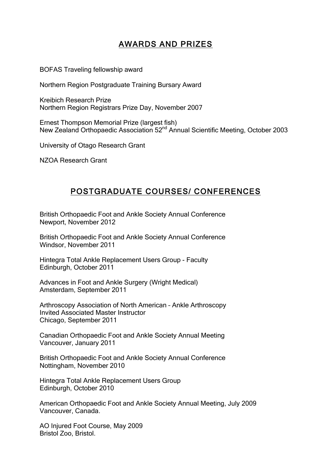# AWARDS AND PRIZES

BOFAS Traveling fellowship award

Northern Region Postgraduate Training Bursary Award

Kreibich Research Prize Northern Region Registrars Prize Day, November 2007

Ernest Thompson Memorial Prize (largest fish) New Zealand Orthopaedic Association 52<sup>nd</sup> Annual Scientific Meeting, October 2003

University of Otago Research Grant

NZOA Research Grant

# POSTGRADUATE COURSES/ CONFERENCES

British Orthopaedic Foot and Ankle Society Annual Conference Newport, November 2012

British Orthopaedic Foot and Ankle Society Annual Conference Windsor, November 2011

Hintegra Total Ankle Replacement Users Group - Faculty Edinburgh, October 2011

Advances in Foot and Ankle Surgery (Wright Medical) Amsterdam, September 2011

Arthroscopy Association of North American – Ankle Arthroscopy Invited Associated Master Instructor Chicago, September 2011

Canadian Orthopaedic Foot and Ankle Society Annual Meeting Vancouver, January 2011

British Orthopaedic Foot and Ankle Society Annual Conference Nottingham, November 2010

Hintegra Total Ankle Replacement Users Group Edinburgh, October 2010

American Orthopaedic Foot and Ankle Society Annual Meeting, July 2009 Vancouver, Canada.

AO Injured Foot Course, May 2009 Bristol Zoo, Bristol.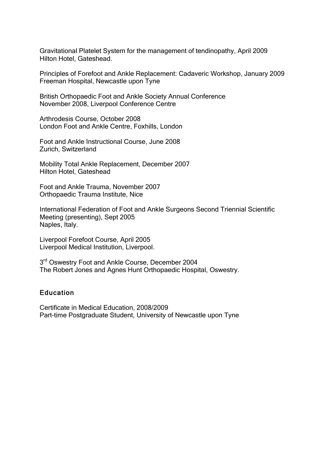Gravitational Platelet System for the management of tendinopathy, April 2009 Hilton Hotel, Gateshead.

Principles of Forefoot and Ankle Replacement: Cadaveric Workshop, January 2009 Freeman Hospital, Newcastle upon Tyne

British Orthopaedic Foot and Ankle Society Annual Conference November 2008, Liverpool Conference Centre

Arthrodesis Course, October 2008 London Foot and Ankle Centre, Foxhills, London

Foot and Ankle Instructional Course, June 2008 Zurich, Switzerland

Mobility Total Ankle Replacement, December 2007 Hilton Hotel, Gateshead

Foot and Ankle Trauma, November 2007 Orthopaedic Trauma Institute, Nice

International Federation of Foot and Ankle Surgeons Second Triennial Scientific Meeting (presenting), Sept 2005 Naples, Italy.

Liverpool Forefoot Course, April 2005 Liverpool Medical Institution, Liverpool.

3<sup>rd</sup> Oswestry Foot and Ankle Course, December 2004 The Robert Jones and Agnes Hunt Orthopaedic Hospital, Oswestry.

#### Education

Certificate in Medical Education, 2008/2009 Part-time Postgraduate Student, University of Newcastle upon Tyne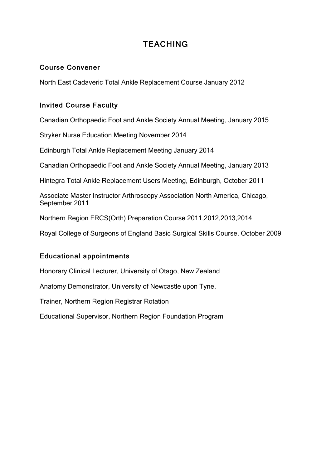# **TEACHING**

#### Course Convener

North East Cadaveric Total Ankle Replacement Course January 2012

#### Invited Course Faculty

Canadian Orthopaedic Foot and Ankle Society Annual Meeting, January 2015

Stryker Nurse Education Meeting November 2014

Edinburgh Total Ankle Replacement Meeting January 2014

Canadian Orthopaedic Foot and Ankle Society Annual Meeting, January 2013

Hintegra Total Ankle Replacement Users Meeting, Edinburgh, October 2011

Associate Master Instructor Arthroscopy Association North America, Chicago, September 2011

Northern Region FRCS(Orth) Preparation Course 2011,2012,2013,2014

Royal College of Surgeons of England Basic Surgical Skills Course, October 2009

#### Educational appointments

Honorary Clinical Lecturer, University of Otago, New Zealand

Anatomy Demonstrator, University of Newcastle upon Tyne.

Trainer, Northern Region Registrar Rotation

Educational Supervisor, Northern Region Foundation Program